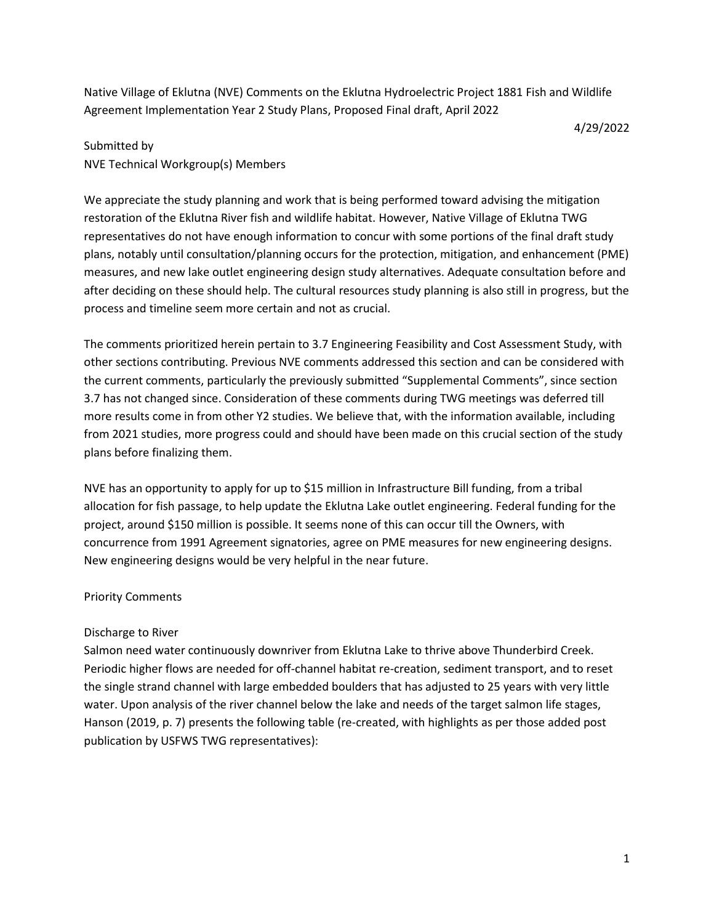Native Village of Eklutna (NVE) Comments on the Eklutna Hydroelectric Project 1881 Fish and Wildlife Agreement Implementation Year 2 Study Plans, Proposed Final draft, April 2022

4/29/2022

# Submitted by NVE Technical Workgroup(s) Members

We appreciate the study planning and work that is being performed toward advising the mitigation restoration of the Eklutna River fish and wildlife habitat. However, Native Village of Eklutna TWG representatives do not have enough information to concur with some portions of the final draft study plans, notably until consultation/planning occurs for the protection, mitigation, and enhancement (PME) measures, and new lake outlet engineering design study alternatives. Adequate consultation before and after deciding on these should help. The cultural resources study planning is also still in progress, but the process and timeline seem more certain and not as crucial.

The comments prioritized herein pertain to 3.7 Engineering Feasibility and Cost Assessment Study, with other sections contributing. Previous NVE comments addressed this section and can be considered with the current comments, particularly the previously submitted "Supplemental Comments", since section 3.7 has not changed since. Consideration of these comments during TWG meetings was deferred till more results come in from other Y2 studies. We believe that, with the information available, including from 2021 studies, more progress could and should have been made on this crucial section of the study plans before finalizing them.

NVE has an opportunity to apply for up to \$15 million in Infrastructure Bill funding, from a tribal allocation for fish passage, to help update the Eklutna Lake outlet engineering. Federal funding for the project, around \$150 million is possible. It seems none of this can occur till the Owners, with concurrence from 1991 Agreement signatories, agree on PME measures for new engineering designs. New engineering designs would be very helpful in the near future.

## Priority Comments

## Discharge to River

Salmon need water continuously downriver from Eklutna Lake to thrive above Thunderbird Creek. Periodic higher flows are needed for off-channel habitat re-creation, sediment transport, and to reset the single strand channel with large embedded boulders that has adjusted to 25 years with very little water. Upon analysis of the river channel below the lake and needs of the target salmon life stages, Hanson (2019, p. 7) presents the following table (re-created, with highlights as per those added post publication by USFWS TWG representatives):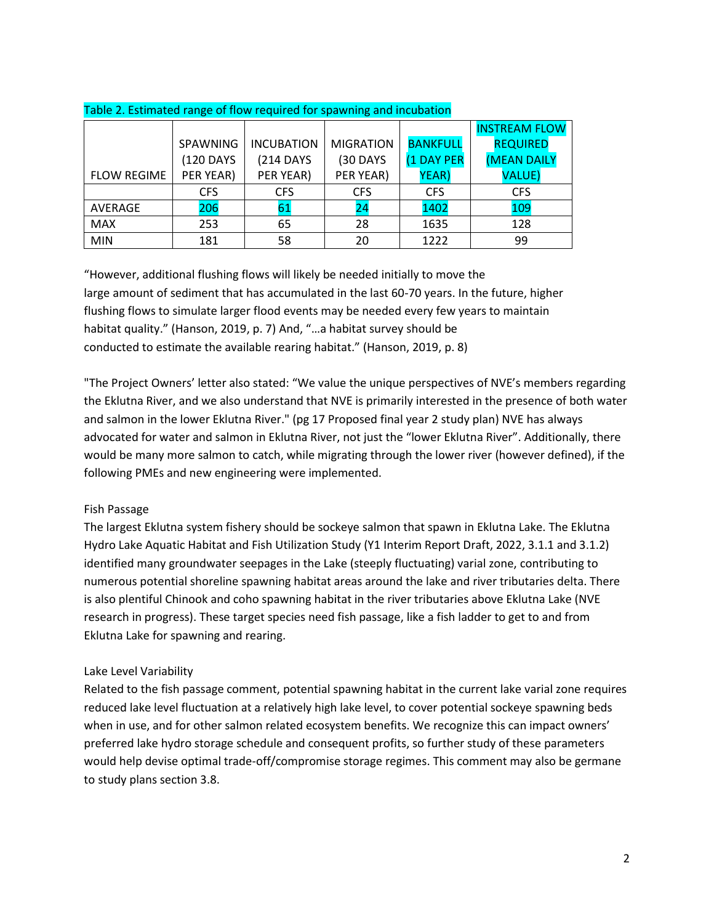|                    |            |                   |                  |                 | <b>INSTREAM FLOW</b> |
|--------------------|------------|-------------------|------------------|-----------------|----------------------|
|                    | SPAWNING   | <b>INCUBATION</b> | <b>MIGRATION</b> | <b>BANKFULL</b> | <b>REQUIRED</b>      |
|                    | (120 DAYS  | (214 DAYS         | <b>(30 DAYS</b>  | (1 DAY PER      | <b>(MEAN DAILY</b>   |
| <b>FLOW REGIME</b> | PER YEAR)  | PER YEAR)         | PER YEAR)        | YEAR)           | <b>VALUE)</b>        |
|                    | <b>CFS</b> | <b>CFS</b>        | <b>CFS</b>       | <b>CFS</b>      | <b>CFS</b>           |
| AVERAGE            | 206        | 61                | 24               | 1402            | 109                  |
| <b>MAX</b>         | 253        | 65                | 28               | 1635            | 128                  |
| <b>MIN</b>         | 181        | 58                | 20               | 1222            | 99                   |

### Table 2. Estimated range of flow required for spawning and incubation

"However, additional flushing flows will likely be needed initially to move the large amount of sediment that has accumulated in the last 60-70 years. In the future, higher flushing flows to simulate larger flood events may be needed every few years to maintain habitat quality." (Hanson, 2019, p. 7) And, "…a habitat survey should be conducted to estimate the available rearing habitat." (Hanson, 2019, p. 8)

"The Project Owners' letter also stated: "We value the unique perspectives of NVE's members regarding the Eklutna River, and we also understand that NVE is primarily interested in the presence of both water and salmon in the lower Eklutna River." (pg 17 Proposed final year 2 study plan) NVE has always advocated for water and salmon in Eklutna River, not just the "lower Eklutna River". Additionally, there would be many more salmon to catch, while migrating through the lower river (however defined), if the following PMEs and new engineering were implemented.

## Fish Passage

The largest Eklutna system fishery should be sockeye salmon that spawn in Eklutna Lake. The Eklutna Hydro Lake Aquatic Habitat and Fish Utilization Study (Y1 Interim Report Draft, 2022, 3.1.1 and 3.1.2) identified many groundwater seepages in the Lake (steeply fluctuating) varial zone, contributing to numerous potential shoreline spawning habitat areas around the lake and river tributaries delta. There is also plentiful Chinook and coho spawning habitat in the river tributaries above Eklutna Lake (NVE research in progress). These target species need fish passage, like a fish ladder to get to and from Eklutna Lake for spawning and rearing.

## Lake Level Variability

Related to the fish passage comment, potential spawning habitat in the current lake varial zone requires reduced lake level fluctuation at a relatively high lake level, to cover potential sockeye spawning beds when in use, and for other salmon related ecosystem benefits. We recognize this can impact owners' preferred lake hydro storage schedule and consequent profits, so further study of these parameters would help devise optimal trade-off/compromise storage regimes. This comment may also be germane to study plans section 3.8.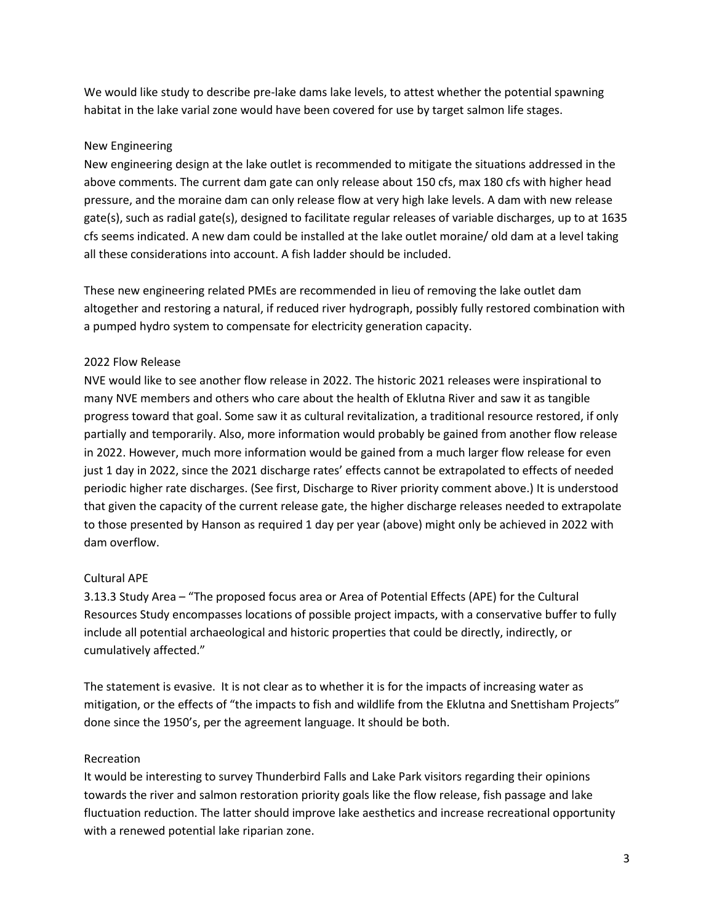We would like study to describe pre-lake dams lake levels, to attest whether the potential spawning habitat in the lake varial zone would have been covered for use by target salmon life stages.

### New Engineering

New engineering design at the lake outlet is recommended to mitigate the situations addressed in the above comments. The current dam gate can only release about 150 cfs, max 180 cfs with higher head pressure, and the moraine dam can only release flow at very high lake levels. A dam with new release gate(s), such as radial gate(s), designed to facilitate regular releases of variable discharges, up to at 1635 cfs seems indicated. A new dam could be installed at the lake outlet moraine/ old dam at a level taking all these considerations into account. A fish ladder should be included.

These new engineering related PMEs are recommended in lieu of removing the lake outlet dam altogether and restoring a natural, if reduced river hydrograph, possibly fully restored combination with a pumped hydro system to compensate for electricity generation capacity.

### 2022 Flow Release

NVE would like to see another flow release in 2022. The historic 2021 releases were inspirational to many NVE members and others who care about the health of Eklutna River and saw it as tangible progress toward that goal. Some saw it as cultural revitalization, a traditional resource restored, if only partially and temporarily. Also, more information would probably be gained from another flow release in 2022. However, much more information would be gained from a much larger flow release for even just 1 day in 2022, since the 2021 discharge rates' effects cannot be extrapolated to effects of needed periodic higher rate discharges. (See first, Discharge to River priority comment above.) It is understood that given the capacity of the current release gate, the higher discharge releases needed to extrapolate to those presented by Hanson as required 1 day per year (above) might only be achieved in 2022 with dam overflow.

#### Cultural APE

3.13.3 Study Area – "The proposed focus area or Area of Potential Effects (APE) for the Cultural Resources Study encompasses locations of possible project impacts, with a conservative buffer to fully include all potential archaeological and historic properties that could be directly, indirectly, or cumulatively affected."

The statement is evasive. It is not clear as to whether it is for the impacts of increasing water as mitigation, or the effects of "the impacts to fish and wildlife from the Eklutna and Snettisham Projects" done since the 1950's, per the agreement language. It should be both.

#### Recreation

It would be interesting to survey Thunderbird Falls and Lake Park visitors regarding their opinions towards the river and salmon restoration priority goals like the flow release, fish passage and lake fluctuation reduction. The latter should improve lake aesthetics and increase recreational opportunity with a renewed potential lake riparian zone.